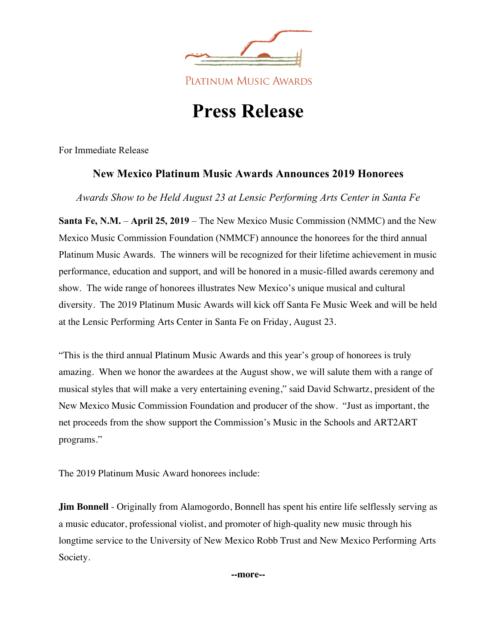

# **Press Release**

For Immediate Release

# **New Mexico Platinum Music Awards Announces 2019 Honorees**

*Awards Show to be Held August 23 at Lensic Performing Arts Center in Santa Fe*

**Santa Fe, N.M.** – **April 25, 2019** – The New Mexico Music Commission (NMMC) and the New Mexico Music Commission Foundation (NMMCF) announce the honorees for the third annual Platinum Music Awards. The winners will be recognized for their lifetime achievement in music performance, education and support, and will be honored in a music-filled awards ceremony and show. The wide range of honorees illustrates New Mexico's unique musical and cultural diversity. The 2019 Platinum Music Awards will kick off Santa Fe Music Week and will be held at the Lensic Performing Arts Center in Santa Fe on Friday, August 23.

"This is the third annual Platinum Music Awards and this year's group of honorees is truly amazing. When we honor the awardees at the August show, we will salute them with a range of musical styles that will make a very entertaining evening," said David Schwartz, president of the New Mexico Music Commission Foundation and producer of the show. "Just as important, the net proceeds from the show support the Commission's Music in the Schools and ART2ART programs."

The 2019 Platinum Music Award honorees include:

**Jim Bonnell** - Originally from Alamogordo, Bonnell has spent his entire life selflessly serving as a music educator, professional violist, and promoter of high-quality new music through his longtime service to the University of New Mexico Robb Trust and New Mexico Performing Arts Society.

**--more--**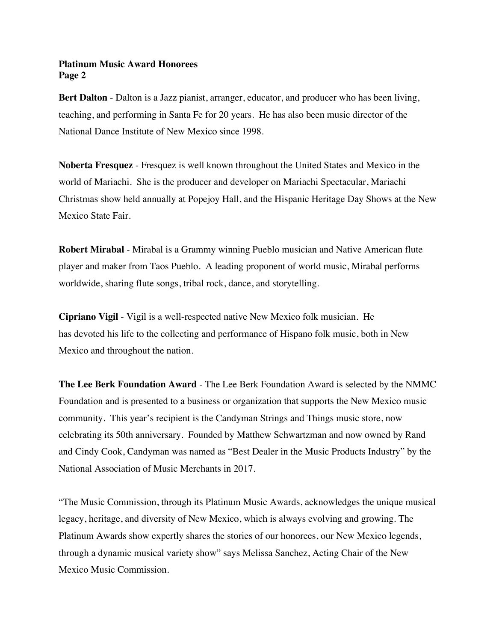# **Platinum Music Award Honorees Page 2**

**Bert Dalton** - Dalton is a Jazz pianist, arranger, educator, and producer who has been living, teaching, and performing in Santa Fe for 20 years. He has also been music director of the National Dance Institute of New Mexico since 1998.

**Noberta Fresquez** - Fresquez is well known throughout the United States and Mexico in the world of Mariachi. She is the producer and developer on Mariachi Spectacular, Mariachi Christmas show held annually at Popejoy Hall, and the Hispanic Heritage Day Shows at the New Mexico State Fair.

**Robert Mirabal** - Mirabal is a Grammy winning Pueblo musician and Native American flute player and maker from Taos Pueblo. A leading proponent of world music, Mirabal performs worldwide, sharing flute songs, tribal rock, dance, and storytelling.

**Cipriano Vigil** - Vigil is a well-respected native New Mexico folk musician. He has devoted his life to the collecting and performance of Hispano folk music, both in New Mexico and throughout the nation.

**The Lee Berk Foundation Award** - The Lee Berk Foundation Award is selected by the NMMC Foundation and is presented to a business or organization that supports the New Mexico music community. This year's recipient is the Candyman Strings and Things music store, now celebrating its 50th anniversary. Founded by Matthew Schwartzman and now owned by Rand and Cindy Cook, Candyman was named as "Best Dealer in the Music Products Industry" by the National Association of Music Merchants in 2017.

"The Music Commission, through its Platinum Music Awards, acknowledges the unique musical legacy, heritage, and diversity of New Mexico, which is always evolving and growing. The Platinum Awards show expertly shares the stories of our honorees, our New Mexico legends, through a dynamic musical variety show" says Melissa Sanchez, Acting Chair of the New Mexico Music Commission.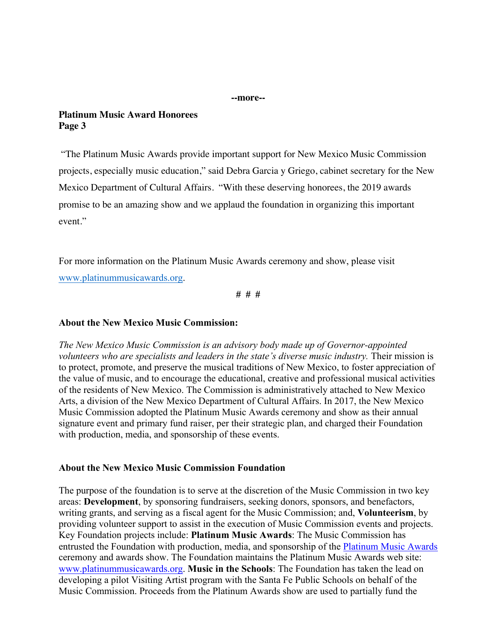**--more--**

#### **Platinum Music Award Honorees Page 3**

"The Platinum Music Awards provide important support for New Mexico Music Commission projects, especially music education," said Debra Garcia y Griego, cabinet secretary for the New Mexico Department of Cultural Affairs. "With these deserving honorees, the 2019 awards promise to be an amazing show and we applaud the foundation in organizing this important event."

For more information on the Platinum Music Awards ceremony and show, please visit www.platinummusicawards.org.

**# # #**

## **About the New Mexico Music Commission:**

*The New Mexico Music Commission is an advisory body made up of Governor-appointed volunteers who are specialists and leaders in the state's diverse music industry.* Their mission is to protect, promote, and preserve the musical traditions of New Mexico, to foster appreciation of the value of music, and to encourage the educational, creative and professional musical activities of the residents of New Mexico. The Commission is administratively attached to New Mexico Arts, a division of the New Mexico Department of Cultural Affairs. In 2017, the New Mexico Music Commission adopted the Platinum Music Awards ceremony and show as their annual signature event and primary fund raiser, per their strategic plan, and charged their Foundation with production, media, and sponsorship of these events.

# **About the New Mexico Music Commission Foundation**

The purpose of the foundation is to serve at the discretion of the Music Commission in two key areas: **Development**, by sponsoring fundraisers, seeking donors, sponsors, and benefactors, writing grants, and serving as a fiscal agent for the Music Commission; and, **Volunteerism**, by providing volunteer support to assist in the execution of Music Commission events and projects. Key Foundation projects include: **Platinum Music Awards**: The Music Commission has entrusted the Foundation with production, media, and sponsorship of the Platinum Music Awards ceremony and awards show. The Foundation maintains the Platinum Music Awards web site: www.platinummusicawards.org. **Music in the Schools**: The Foundation has taken the lead on developing a pilot Visiting Artist program with the Santa Fe Public Schools on behalf of the Music Commission. Proceeds from the Platinum Awards show are used to partially fund the